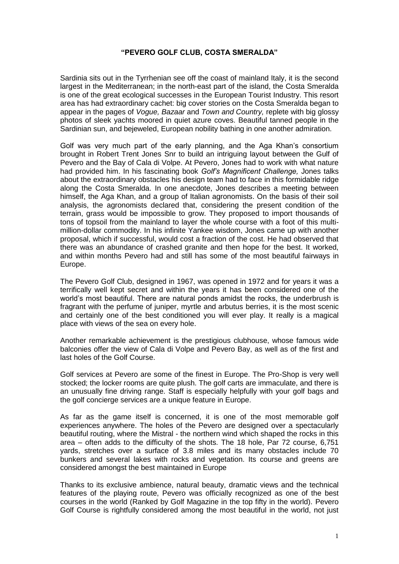## **"PEVERO GOLF CLUB, COSTA SMERALDA"**

Sardinia sits out in the Tyrrhenian see off the coast of mainland Italy, it is the second largest in the Mediterranean; in the north-east part of the island, the Costa Smeralda is one of the great ecological successes in the European Tourist Industry. This resort area has had extraordinary cachet: big cover stories on the Costa Smeralda began to appear in the pages of *Vogue, Bazaar* and *Town and Country,* replete with big glossy photos of sleek yachts moored in quiet azure coves. Beautiful tanned people in the Sardinian sun, and bejeweled, European nobility bathing in one another admiration.

Golf was very much part of the early planning, and the Aga Khan's consortium brought in Robert Trent Jones Snr to build an intriguing layout between the Gulf of Pevero and the Bay of Cala di Volpe. At Pevero, Jones had to work with what nature had provided him. In his fascinating book *Golf's Magnificent Challenge,* Jones talks about the extraordinary obstacles his design team had to face in this formidable ridge along the Costa Smeralda. In one anecdote, Jones describes a meeting between himself, the Aga Khan, and a group of Italian agronomists. On the basis of their soil analysis, the agronomists declared that, considering the present condition of the terrain, grass would be impossible to grow. They proposed to import thousands of tons of topsoil from the mainland to layer the whole course with a foot of this multimillion-dollar commodity. In his infinite Yankee wisdom, Jones came up with another proposal, which if successful, would cost a fraction of the cost. He had observed that there was an abundance of crashed granite and then hope for the best. It worked, and within months Pevero had and still has some of the most beautiful fairways in Europe.

The Pevero Golf Club, designed in 1967, was opened in 1972 and for years it was a terrifically well kept secret and within the years it has been considered one of the world's most beautiful. There are natural ponds amidst the rocks, the underbrush is fragrant with the perfume of juniper, myrtle and arbutus berries, it is the most scenic and certainly one of the best conditioned you will ever play. It really is a magical place with views of the sea on every hole.

Another remarkable achievement is the prestigious clubhouse, whose famous wide balconies offer the view of Cala di Volpe and Pevero Bay, as well as of the first and last holes of the Golf Course.

Golf services at Pevero are some of the finest in Europe. The Pro-Shop is very well stocked; the locker rooms are quite plush. The golf carts are immaculate, and there is an unusually fine driving range. Staff is especially helpfully with your golf bags and the golf concierge services are a unique feature in Europe.

As far as the game itself is concerned, it is one of the most memorable golf experiences anywhere. The holes of the Pevero are designed over a spectacularly beautiful routing, where the Mistral - the northern wind which shaped the rocks in this area – often adds to the difficulty of the shots. The 18 hole, Par 72 course, 6,751 yards, stretches over a surface of 3.8 miles and its many obstacles include 70 bunkers and several lakes with rocks and vegetation. Its course and greens are considered amongst the best maintained in Europe

Thanks to its exclusive ambience, natural beauty, dramatic views and the technical features of the playing route, Pevero was officially recognized as one of the best courses in the world (Ranked by Golf Magazine in the top fifty in the world). Pevero Golf Course is rightfully considered among the most beautiful in the world, not just